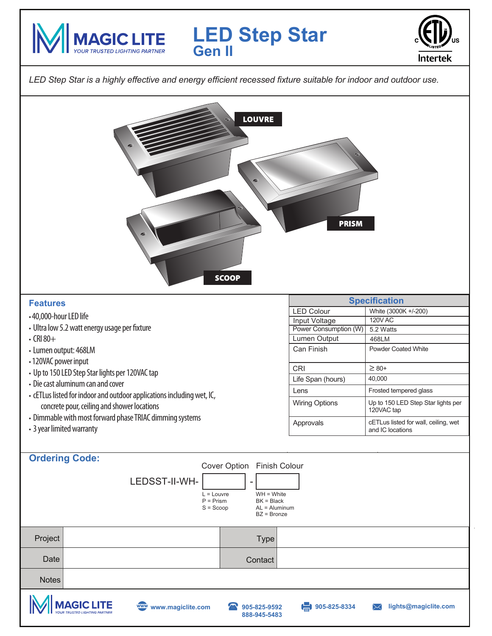



*LED Step Star is a highly effective and energy efficient recessed fixture suitable for indoor and outdoor use.*